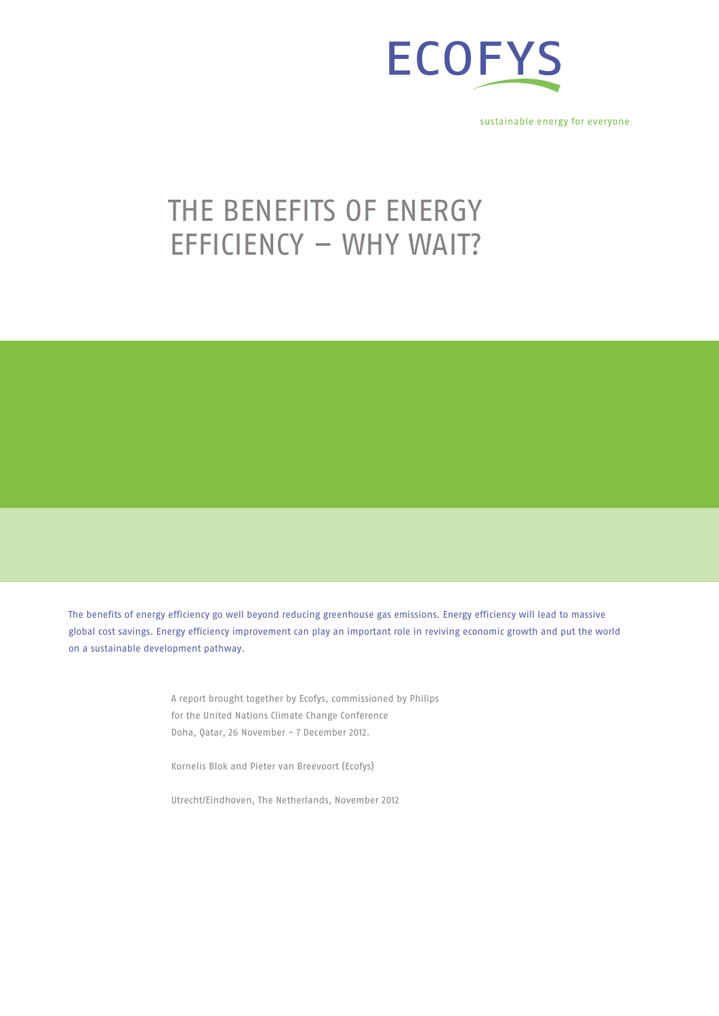

sustainable energy for everyone

# THE BENEFITS OF ENERGY efficiency – why wait?

The benefits of energy efficiency go well beyond reducing greenhouse gas emissions. Energy efficiency will lead to massive global cost savings. Energy efficiency improvement can play an important role in reviving economic growth and put the world on a sustainable development pathway.

> A report brought together by Ecofys, commissioned by Philips for the United Nations Climate Change Conference Doha, Qatar, 26 November - 7 December 2012.

Kornelis Blok and Pieter van Breevoort (Ecofys)

Utrecht/Eindhoven, The Netherlands, November 2012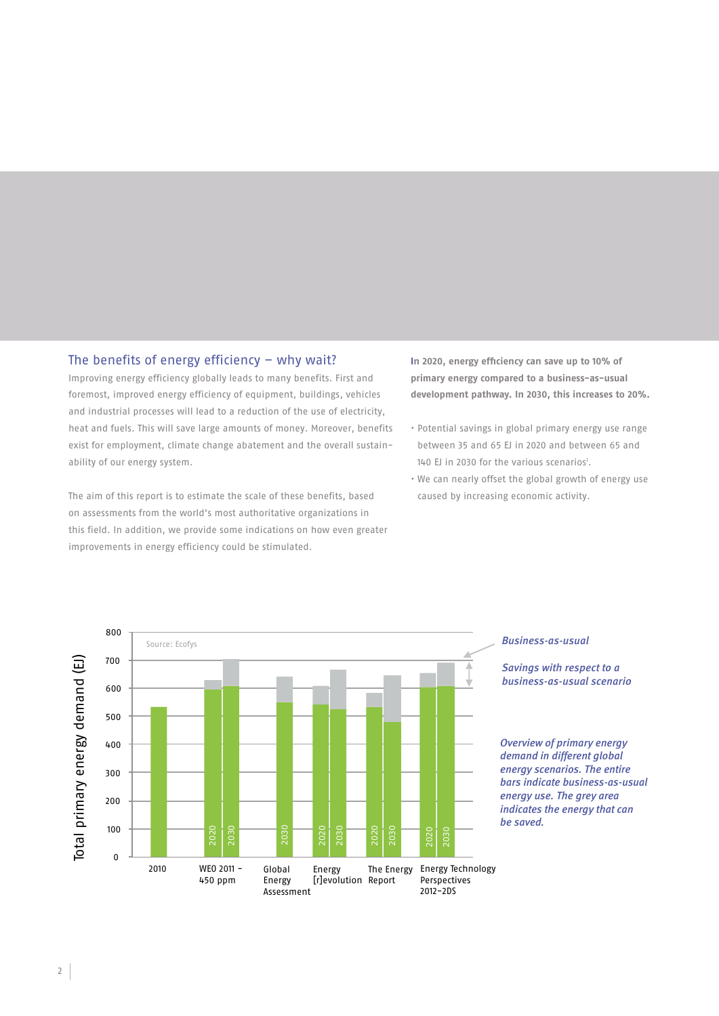# The benefits of energy efficiency  $-$  why wait?

Improving energy efficiency globally leads to many benefits. First and foremost, improved energy efficiency of equipment, buildings, vehicles and industrial processes will lead to a reduction of the use of electricity, heat and fuels. This will save large amounts of money. Moreover, benefits exist for employment, climate change abatement and the overall sustainability of our energy system.

The aim of this report is to estimate the scale of these benefits, based on assessments from the world's most authoritative organizations in this field. In addition, we provide some indications on how even greater improvements in energy efficiency could be stimulated.

**In 2020, energy efficiency can save up to 10% of primary energy compared to a business-as-usual development pathway. In 2030, this increases to 20%.**

- Potential savings in global primary energy use range between 35 and 65 EJ in 2020 and between 65 and 140 EJ in 2030 for the various scenarios<sup>1</sup>.
- We can nearly offset the global growth of energy use caused by increasing economic activity.



### *Business-as-usual*

*Savings with respect to a business-as-usual scenario*

*Overview of primary energy demand in different global energy scenarios. The entire bars indicate business-as-usual energy use. The grey area indicates the energy that can*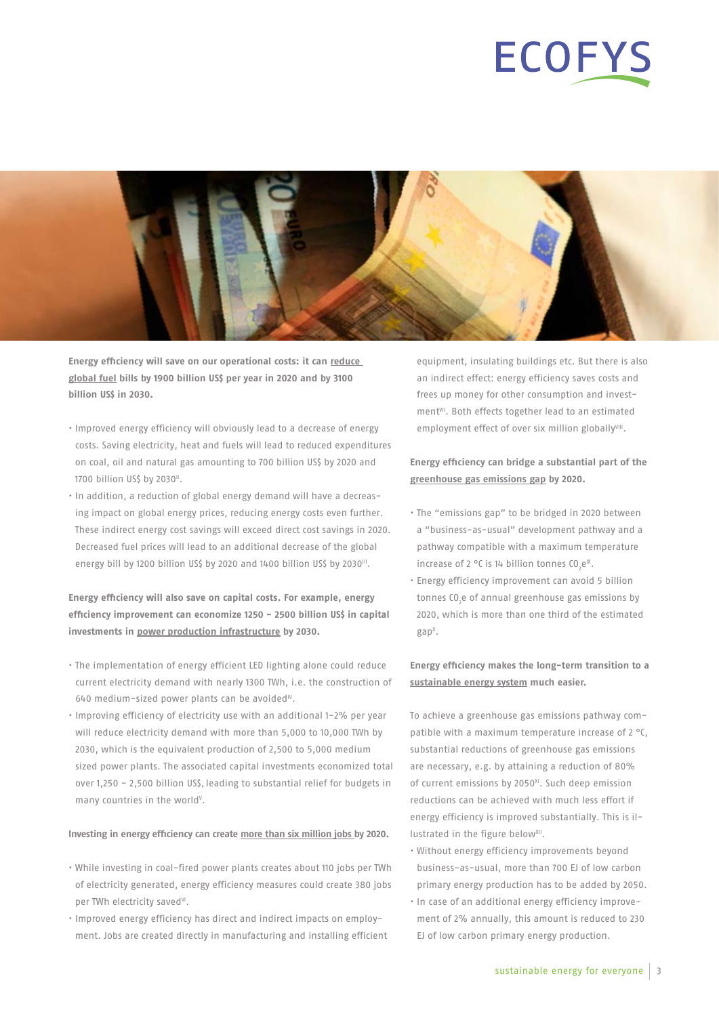# **ECOFYS**



**Energy efficiency will save on our operational costs: it can reduce global fuel bills by 1900 billion US\$ per year in 2020 and by 3100 billion US\$ in 2030.**

- Improved energy efficiency will obviously lead to a decrease of energy costs. Saving electricity, heat and fuels will lead to reduced expenditures on coal, oil and natural gas amounting to 700 billion US\$ by 2020 and 1700 billion US\$ by 2030".
- In addition, a reduction of global energy demand will have a decreasing impact on global energy prices, reducing energy costs even further. These indirect energy cost savings will exceed direct cost savings in 2020. Decreased fuel prices will lead to an additional decrease of the global energy bill by 1200 billion US\$ by 2020 and 1400 billion US\$ by 2030<sup>III</sup>.

# **Energy efficiency will also save on capital costs. For example, energy efficiency improvement can economize 1250 - 2500 billion US\$ in capital investments in power production infrastructure by 2030.**

- The implementation of energy efficient LED lighting alone could reduce current electricity demand with nearly 1300 TWh, i.e. the construction of  $640$  medium-sized power plants can be avoided<sup>10</sup>.
- Improving efficiency of electricity use with an additional 1-2% per year will reduce electricity demand with more than 5,000 to 10,000 TWh by 2030, which is the equivalent production of 2,500 to 5,000 medium sized power plants. The associated capital investments economized total over 1,250 - 2,500 billion US\$, leading to substantial relief for budgets in many countries in the world<sup>v</sup>.

#### **Investing in energy efficiency can create more than six million jobs by 2020.**

- While investing in coal-fired power plants creates about 110 jobs per TWh of electricity generated, energy efficiency measures could create 380 jobs per TWh electricity saved<sup>y</sup>.
- Improved energy efficiency has direct and indirect impacts on employment. Jobs are created directly in manufacturing and installing efficient

equipment, insulating buildings etc. But there is also an indirect effect: energy efficiency saves costs and frees up money for other consumption and investment<sup>VII</sup>. Both effects together lead to an estimated employment effect of over six million globallyVIII.

# **Energy efficiency can bridge a substantial part of the greenhouse gas emissions gap by 2020.**

- The "emissions gap" to be bridged in 2020 between a "business-as-usual" development pathway and a pathway compatible with a maximum temperature increase of 2 °C is 14 billion tonnes  $CO<sub>2</sub>e<sup>IX</sup>$ .
- Energy efficiency improvement can avoid 5 billion tonnes  $CO<sub>2</sub>e$  of annual greenhouse gas emissions by 2020, which is more than one third of the estimated gapX .

# **Energy efficiency makes the long-term transition to a sustainable energy system much easier.**

To achieve a greenhouse gas emissions pathway compatible with a maximum temperature increase of 2 °C, substantial reductions of greenhouse gas emissions are necessary, e.g. by attaining a reduction of 80% of current emissions by 2050 $X<sup>X</sup>$ . Such deep emission reductions can be achieved with much less effort if energy efficiency is improved substantially. This is illustrated in the figure below<sup>XII</sup>.

- Without energy efficiency improvements beyond business-as-usual, more than 700 EJ of low carbon primary energy production has to be added by 2050.
- In case of an additional energy efficiency improvement of 2% annually, this amount is reduced to 230 EJ of low carbon primary energy production.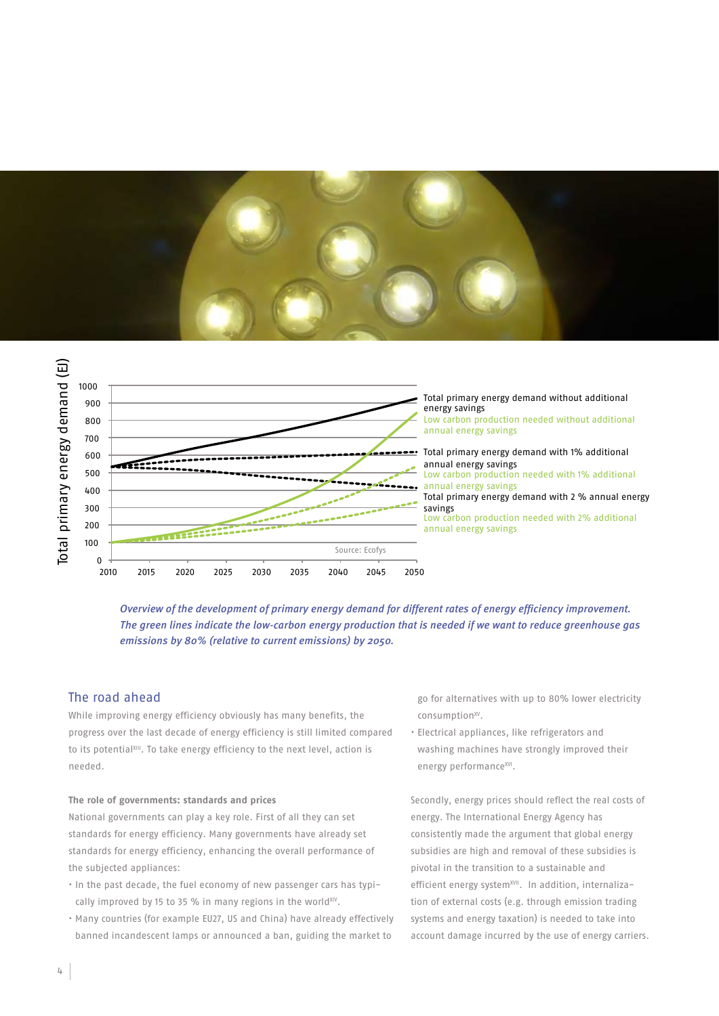



*Overview of the development of primary energy demand for different rates of energy efficiency improvement. The green lines indicate the low-carbon energy production that is needed if we want to reduce greenhouse gas emissions by 80% (relative to current emissions) by 2050.*

# The road ahead

While improving energy efficiency obviously has many benefits, the progress over the last decade of energy efficiency is still limited compared to its potential<sup>XIII</sup>. To take energy efficiency to the next level, action is needed.

#### **The role of governments: standards and prices**

National governments can play a key role. First of all they can set standards for energy efficiency. Many governments have already set standards for energy efficiency, enhancing the overall performance of the subjected appliances:

- In the past decade, the fuel economy of new passenger cars has typically improved by 15 to 35 % in many regions in the world $X_{IV}$ .
- Many countries (for example EU27, US and China) have already effectively banned incandescent lamps or announced a ban, guiding the market to

go for alternatives with up to 80% lower electricity consumption<sup>xv</sup>.

• Electrical appliances, like refrigerators and washing machines have strongly improved their energy performance<sup>XVI</sup>.

Secondly, energy prices should reflect the real costs of energy. The International Energy Agency has consistently made the argument that global energy subsidies are high and removal of these subsidies is pivotal in the transition to a sustainable and efficient energy system<sup>xVII</sup>. In addition, internalization of external costs (e.g. through emission trading systems and energy taxation) is needed to take into account damage incurred by the use of energy carriers.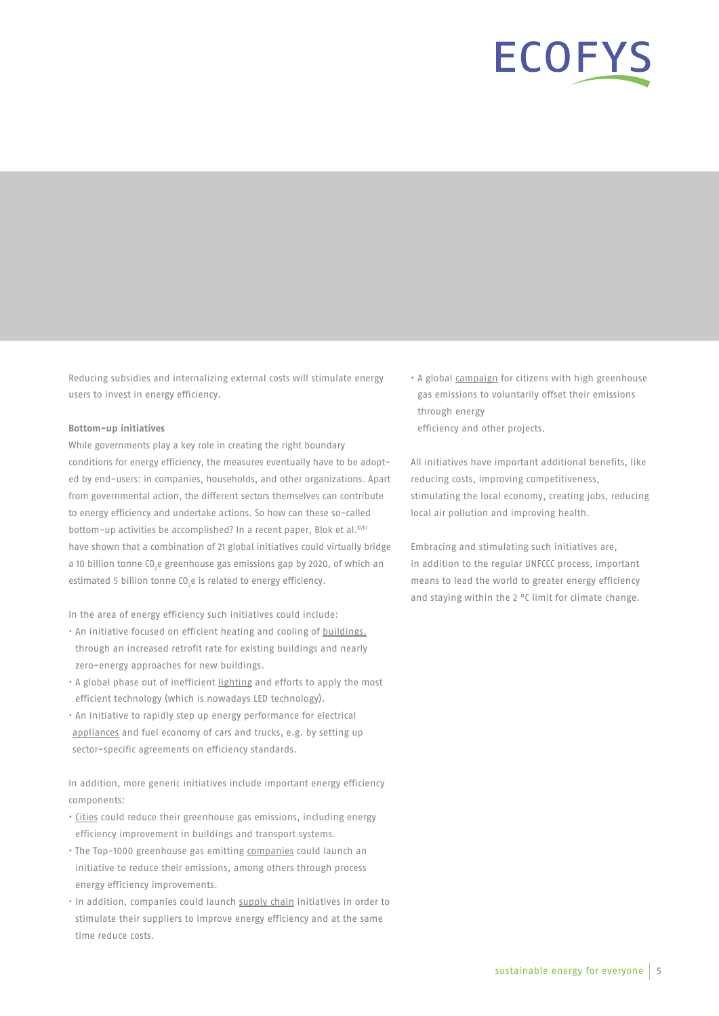# ECOFYS

Reducing subsidies and internalizing external costs will stimulate energy users to invest in energy efficiency.

#### **Bottom-up initiatives**

While governments play a key role in creating the right boundary conditions for energy efficiency, the measures eventually have to be adopted by end-users: in companies, households, and other organizations. Apart from governmental action, the different sectors themselves can contribute to energy efficiency and undertake actions. So how can these so-called bottom-up activities be accomplished? In a recent paper, Blok et al.<sup>XVIII</sup> have shown that a combination of 21 global initiatives could virtually bridge a 10 billion tonne CO<sub>2</sub>e greenhouse gas emissions gap by 2020, of which an estimated 5 billion tonne CO<sub>2</sub>e is related to energy efficiency.

In the area of energy efficiency such initiatives could include:

- An initiative focused on efficient heating and cooling of buildings, through an increased retrofit rate for existing buildings and nearly zero-energy approaches for new buildings.
- A global phase out of inefficient lighting and efforts to apply the most efficient technology (which is nowadays LED technology).
- An initiative to rapidly step up energy performance for electrical appliances and fuel economy of cars and trucks, e.g. by setting up sector-specific agreements on efficiency standards.

In addition, more generic initiatives include important energy efficiency components:

- Cities could reduce their greenhouse gas emissions, including energy efficiency improvement in buildings and transport systems.
- The Top-1000 greenhouse gas emitting companies could launch an initiative to reduce their emissions, among others through process energy efficiency improvements.
- In addition, companies could launch supply chain initiatives in order to stimulate their suppliers to improve energy efficiency and at the same time reduce costs.

• A global campaign for citizens with high greenhouse gas emissions to voluntarily offset their emissions through energy efficiency and other projects.

All initiatives have important additional benefits, like reducing costs, improving competitiveness, stimulating the local economy, creating jobs, reducing local air pollution and improving health.

Embracing and stimulating such initiatives are, in addition to the regular UNFCCC process, important means to lead the world to greater energy efficiency and staying within the 2 °C limit for climate change.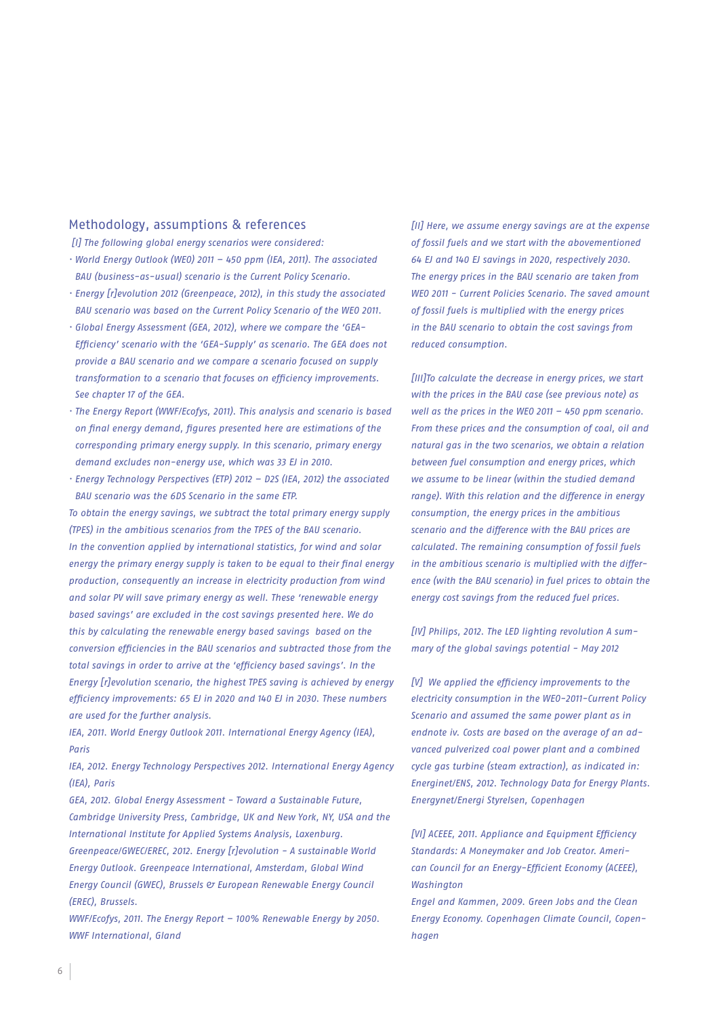### Methodology, assumptions & references

*[I] The following global energy scenarios were considered:*

- *· World Energy Outlook (WEO) 2011 450 ppm (IEA, 2011). The associated BAU (business-as-usual) scenario is the Current Policy Scenario.*
- *· Energy [r]evolution 2012 (Greenpeace, 2012), in this study the associated BAU scenario was based on the Current Policy Scenario of the WEO 2011.*
- *· Global Energy Assessment (GEA, 2012), where we compare the 'GEA-Efficiency' scenario with the 'GEA-Supply' as scenario. The GEA does not provide a BAU scenario and we compare a scenario focused on supply transformation to a scenario that focuses on efficiency improvements. See chapter 17 of the GEA.*
- *· The Energy Report (WWF/Ecofys, 2011). This analysis and scenario is based on final energy demand, figures presented here are estimations of the corresponding primary energy supply. In this scenario, primary energy demand excludes non-energy use, which was 33 EJ in 2010.*
- *· Energy Technology Perspectives (ETP) 2012 D2S (IEA, 2012) the associated BAU scenario was the 6DS Scenario in the same ETP.*

*To obtain the energy savings, we subtract the total primary energy supply (TPES) in the ambitious scenarios from the TPES of the BAU scenario. In the convention applied by international statistics, for wind and solar energy the primary energy supply is taken to be equal to their final energy production, consequently an increase in electricity production from wind and solar PV will save primary energy as well. These 'renewable energy based savings' are excluded in the cost savings presented here. We do this by calculating the renewable energy based savings based on the conversion efficiencies in the BAU scenarios and subtracted those from the total savings in order to arrive at the 'efficiency based savings'. In the Energy [r]evolution scenario, the highest TPES saving is achieved by energy efficiency improvements: 65 EJ in 2020 and 140 EJ in 2030. These numbers are used for the further analysis.*

*IEA, 2011. World Energy Outlook 2011. International Energy Agency (IEA), Paris*

*IEA, 2012. Energy Technology Perspectives 2012. International Energy Agency (IEA), Paris*

*GEA, 2012. Global Energy Assessment - Toward a Sustainable Future, Cambridge University Press, Cambridge, UK and New York, NY, USA and the International Institute for Applied Systems Analysis, Laxenburg. Greenpeace/GWEC/EREC, 2012. Energy [r]evolution - A sustainable World Energy Outlook. Greenpeace International, Amsterdam, Global Wind Energy Council (GWEC), Brussels & European Renewable Energy Council (EREC), Brussels.*

*WWF/Ecofys, 2011. The Energy Report – 100% Renewable Energy by 2050. WWF International, Gland*

*[II] Here, we assume energy savings are at the expense of fossil fuels and we start with the abovementioned 64 EJ and 140 EJ savings in 2020, respectively 2030. The energy prices in the BAU scenario are taken from WEO 2011 - Current Policies Scenario. The saved amount of fossil fuels is multiplied with the energy prices in the BAU scenario to obtain the cost savings from reduced consumption.*

*[III]To calculate the decrease in energy prices, we start with the prices in the BAU case (see previous note) as well as the prices in the WEO 2011 – 450 ppm scenario. From these prices and the consumption of coal, oil and natural gas in the two scenarios, we obtain a relation between fuel consumption and energy prices, which we assume to be linear (within the studied demand range). With this relation and the difference in energy consumption, the energy prices in the ambitious scenario and the difference with the BAU prices are calculated. The remaining consumption of fossil fuels in the ambitious scenario is multiplied with the difference (with the BAU scenario) in fuel prices to obtain the energy cost savings from the reduced fuel prices.*

*[IV] Philips, 2012. The LED lighting revolution A summary of the global savings potential - May 2012*

*[V] We applied the efficiency improvements to the electricity consumption in the WEO-2011-Current Policy Scenario and assumed the same power plant as in endnote iv. Costs are based on the average of an advanced pulverized coal power plant and a combined cycle gas turbine (steam extraction), as indicated in: Energinet/ENS, 2012. Technology Data for Energy Plants. Energynet/Energi Styrelsen, Copenhagen*

*[VI] ACEEE, 2011. Appliance and Equipment Efficiency Standards: A Moneymaker and Job Creator. American Council for an Energy-Efficient Economy (ACEEE), Washington*

*Engel and Kammen, 2009. Green Jobs and the Clean Energy Economy. Copenhagen Climate Council, Copenhagen*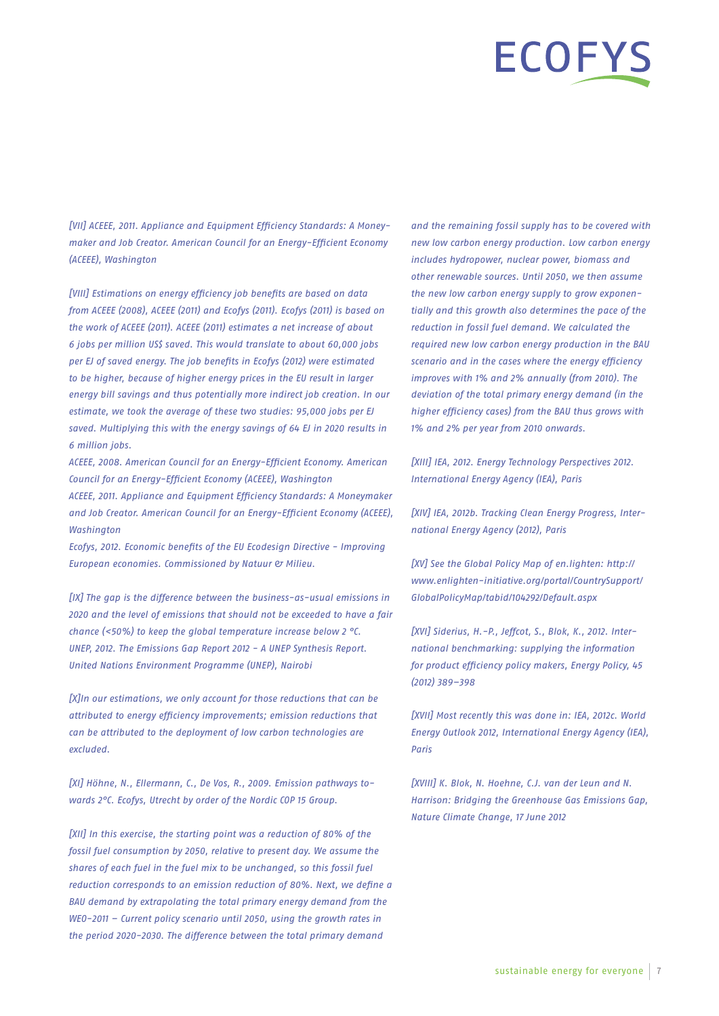# ECOFY

*[VII] ACEEE, 2011. Appliance and Equipment Efficiency Standards: A Moneymaker and Job Creator. American Council for an Energy-Efficient Economy (ACEEE), Washington* 

*[VIII] Estimations on energy efficiency job benefits are based on data from ACEEE (2008), ACEEE (2011) and Ecofys (2011). Ecofys (2011) is based on the work of ACEEE (2011). ACEEE (2011) estimates a net increase of about 6 jobs per million US\$ saved. This would translate to about 60,000 jobs per EJ of saved energy. The job benefits in Ecofys (2012) were estimated to be higher, because of higher energy prices in the EU result in larger energy bill savings and thus potentially more indirect job creation. In our estimate, we took the average of these two studies: 95,000 jobs per EJ saved. Multiplying this with the energy savings of 64 EJ in 2020 results in 6 million jobs.*

*ACEEE, 2008. American Council for an Energy-Efficient Economy. American Council for an Energy-Efficient Economy (ACEEE), Washington ACEEE, 2011. Appliance and Equipment Efficiency Standards: A Moneymaker and Job Creator. American Council for an Energy-Efficient Economy (ACEEE), Washington*

*Ecofys, 2012. Economic benefits of the EU Ecodesign Directive - Improving European economies. Commissioned by Natuur & Milieu.*

*[IX] The gap is the difference between the business-as-usual emissions in 2020 and the level of emissions that should not be exceeded to have a fair chance (<50%) to keep the global temperature increase below 2 °C. UNEP, 2012. The Emissions Gap Report 2012 - A UNEP Synthesis Report. United Nations Environment Programme (UNEP), Nairobi*

*[X]In our estimations, we only account for those reductions that can be attributed to energy efficiency improvements; emission reductions that can be attributed to the deployment of low carbon technologies are excluded.*

*[XI] Höhne, N., Ellermann, C., De Vos, R., 2009. Emission pathways towards 2°C. Ecofys, Utrecht by order of the Nordic COP 15 Group.*

*[XII] In this exercise, the starting point was a reduction of 80% of the fossil fuel consumption by 2050, relative to present day. We assume the shares of each fuel in the fuel mix to be unchanged, so this fossil fuel reduction corresponds to an emission reduction of 80%. Next, we define a BAU demand by extrapolating the total primary energy demand from the WEO-2011 – Current policy scenario until 2050, using the growth rates in the period 2020-2030. The difference between the total primary demand* 

*and the remaining fossil supply has to be covered with new low carbon energy production. Low carbon energy includes hydropower, nuclear power, biomass and other renewable sources. Until 2050, we then assume the new low carbon energy supply to grow exponentially and this growth also determines the pace of the reduction in fossil fuel demand. We calculated the required new low carbon energy production in the BAU scenario and in the cases where the energy efficiency improves with 1% and 2% annually (from 2010). The deviation of the total primary energy demand (in the higher efficiency cases) from the BAU thus grows with 1% and 2% per year from 2010 onwards.*

*[XIII] IEA, 2012. Energy Technology Perspectives 2012. International Energy Agency (IEA), Paris*

*[XIV] IEA, 2012b. Tracking Clean Energy Progress, International Energy Agency (2012), Paris*

*[XV] See the Global Policy Map of en.lighten: http:// www.enlighten-initiative.org/portal/CountrySupport/ GlobalPolicyMap/tabid/104292/Default.aspx*

*[XVI] Siderius, H.-P., Jeffcot, S., Blok, K., 2012. International benchmarking: supplying the information for product efficiency policy makers, Energy Policy, 45 (2012) 389–398*

*[XVII] Most recently this was done in: IEA, 2012c. World Energy Outlook 2012, International Energy Agency (IEA), Paris*

*[XVIII] K. Blok, N. Hoehne, C.J. van der Leun and N. Harrison: Bridging the Greenhouse Gas Emissions Gap, Nature Climate Change, 17 June 2012*